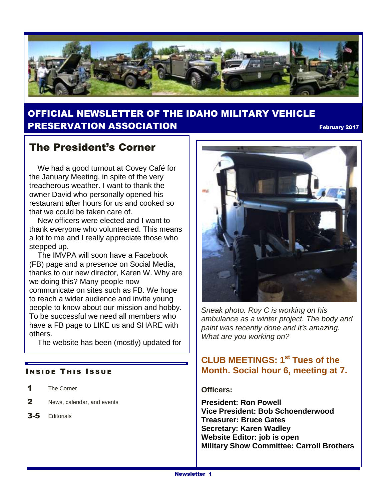

### OFFICIAL NEWSLETTER OF THE IDAHO MILITARY VEHICLE **PRESERVATION ASSOCIATION Example 2017** The property 2017

### The President's Corner

 We had a good turnout at Covey Café for the January Meeting, in spite of the very treacherous weather. I want to thank the owner David who personally opened his restaurant after hours for us and cooked so that we could be taken care of.

 New officers were elected and I want to thank everyone who volunteered. This means a lot to me and I really appreciate those who stepped up.

 The IMVPA will soon have a Facebook (FB) page and a presence on Social Media, thanks to our new director, Karen W. Why are we doing this? Many people now communicate on sites such as FB. We hope to reach a wider audience and invite young people to know about our mission and hobby. To be successful we need all members who have a FB page to LIKE us and SHARE with others.

The website has been (mostly) updated for

#### **INSIDE THIS ISSUE**

- 1 The Corner
- 2 News, calendar, and events
- 3-5 Editorials



*Sneak photo. Roy C is working on his ambulance as a winter project. The body and paint was recently done and it's amazing. What are you working on?*

### **CLUB MEETINGS: 1st Tues of the Month. Social hour 6, meeting at 7.**

#### **Officers:**

**President: Ron Powell Vice President: Bob Schoenderwood Treasurer: Bruce Gates Secretary: Karen Wadley Website Editor: job is open Military Show Committee: Carroll Brothers**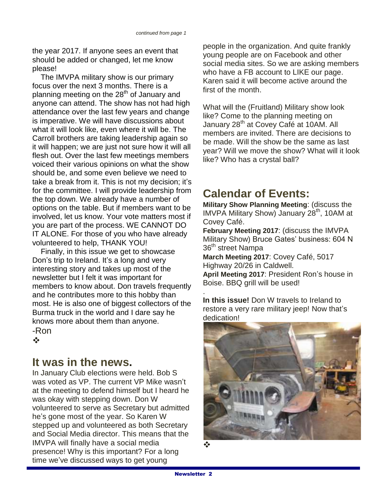the year 2017. If anyone sees an event that should be added or changed, let me know please!

 The IMVPA military show is our primary focus over the next 3 months. There is a planning meeting on the 28<sup>th</sup> of January and anyone can attend. The show has not had high attendance over the last few years and change is imperative. We will have discussions about what it will look like, even where it will be. The Carroll brothers are taking leadership again so it will happen; we are just not sure how it will all flesh out. Over the last few meetings members voiced their various opinions on what the show should be, and some even believe we need to take a break from it. This is not my decision; it's for the committee. I will provide leadership from the top down. We already have a number of options on the table. But if members want to be involved, let us know. Your vote matters most if you are part of the process. WE CANNOT DO IT ALONE. For those of you who have already volunteered to help, THANK YOU!

 Finally, in this issue we get to showcase Don's trip to Ireland. It's a long and very interesting story and takes up most of the newsletter but I felt it was important for members to know about. Don travels frequently and he contributes more to this hobby than most. He is also one of biggest collectors of the Burma truck in the world and I dare say he knows more about them than anyone. -Ron

 $\frac{1}{2}$ 

### **It was in the news.**

In January Club elections were held. Bob S was voted as VP. The current VP Mike wasn't at the meeting to defend himself but I heard he was okay with stepping down. Don W volunteered to serve as Secretary but admitted he's gone most of the year. So Karen W stepped up and volunteered as both Secretary and Social Media director. This means that the IMVPA will finally have a social media presence! Why is this important? For a long time we've discussed ways to get young

people in the organization. And quite frankly young people are on Facebook and other social media sites. So we are asking members who have a FB account to LIKE our page. Karen said it will become active around the first of the month.

What will the (Fruitland) Military show look like? Come to the planning meeting on January 28<sup>th</sup> at Covey Café at 10AM. All members are invited. There are decisions to be made. Will the show be the same as last year? Will we move the show? What will it look like? Who has a crystal ball?

## **Calendar of Events:**

**Military Show Planning Meeting**: (discuss the IMVPA Military Show) January 28<sup>th</sup>, 10AM at Covey Café.

**February Meeting 2017**: (discuss the IMVPA Military Show) Bruce Gates' business: 604 N 36<sup>th</sup> street Nampa

**March Meeting 2017**: Covey Café, 5017 Highway 20/26 in Caldwell.

**April Meeting 2017**: President Ron's house in Boise. BBQ grill will be used!

. **In this issue!** Don W travels to Ireland to restore a very rare military jeep! Now that's dedication!

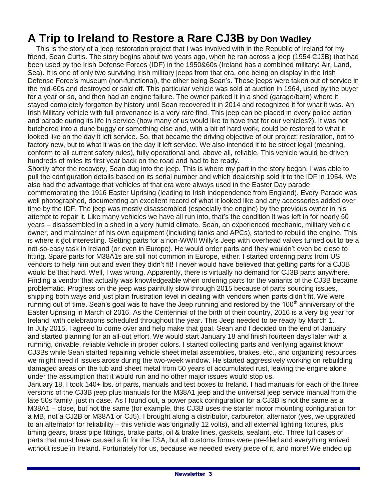# **A Trip to Ireland to Restore a Rare CJ3B by Don Wadley**

 This is the story of a jeep restoration project that I was involved with in the Republic of Ireland for my friend, Sean Curtis. The story begins about two years ago, when he ran across a jeep (1954 CJ3B) that had been used by the Irish Defense Forces (IDF) in the 1950&60s (Ireland has a combined military: Air, Land, Sea). It is one of only two surviving Irish military jeeps from that era, one being on display in the Irish Defense Force's museum (non-functional), the other being Sean's. These jeeps were taken out of service in the mid-60s and destroyed or sold off. This particular vehicle was sold at auction in 1964, used by the buyer for a year or so, and then had an engine failure. The owner parked it in a shed (garage/barn) where it stayed completely forgotten by history until Sean recovered it in 2014 and recognized it for what it was. An Irish Military vehicle with full provenance is a very rare find. This jeep can be placed in every police action and parade during its life in service (how many of us would like to have that for our vehicles?). It was not butchered into a dune buggy or something else and, with a bit of hard work, could be restored to what it looked like on the day it left service. So, that became the driving objective of our project: restoration, not to factory new, but to what it was on the day it left service. We also intended it to be street legal (meaning, conform to all current safety rules), fully operational and, above all, reliable. This vehicle would be driven hundreds of miles its first year back on the road and had to be ready.

Shortly after the recovery, Sean dug into the jeep. This is where my part in the story began. I was able to pull the configuration details based on its serial number and which dealership sold it to the IDF in 1954. We also had the advantage that vehicles of that era were always used in the Easter Day parade commemorating the 1916 Easter Uprising (leading to Irish independence from England). Every Parade was well photographed, documenting an excellent record of what it looked like and any accessories added over time by the IDF. The jeep was mostly disassembled (especially the engine) by the previous owner in his attempt to repair it. Like many vehicles we have all run into, that's the condition it was left in for nearly 50 years – disassembled in a shed in a very humid climate. Sean, an experienced mechanic, military vehicle owner, and maintainer of his own equipment (including tanks and APCs), started to rebuild the engine. This is where it got interesting. Getting parts for a non-WWII Willy's Jeep with overhead valves turned out to be a not-so-easy task in Ireland (or even in Europe). He would order parts and they wouldn't even be close to fitting. Spare parts for M38A1s are still not common in Europe, either. I started ordering parts from US vendors to help him out and even they didn't fit! I never would have believed that getting parts for a CJ3B would be that hard. Well, I was wrong. Apparently, there is virtually no demand for CJ3B parts anywhere. Finding a vendor that actually was knowledgeable when ordering parts for the variants of the CJ3B became problematic. Progress on the jeep was painfully slow through 2015 because of parts sourcing issues, shipping both ways and just plain frustration level in dealing with vendors when parts didn't fit. We were running out of time. Sean's goal was to have the Jeep running and restored by the 100<sup>th</sup> anniversary of the Easter Uprising in March of 2016. As the Centennial of the birth of their country, 2016 is a very big year for Ireland, with celebrations scheduled throughout the year. This Jeep needed to be ready by March 1. In July 2015, I agreed to come over and help make that goal. Sean and I decided on the end of January and started planning for an all-out effort. We would start January 18 and finish fourteen days later with a running, drivable, reliable vehicle in proper colors. I started collecting parts and verifying against known CJ3Bs while Sean started repairing vehicle sheet metal assemblies, brakes, etc., and organizing resources we might need if issues arose during the two-week window. He started aggressively working on rebuilding damaged areas on the tub and sheet metal from 50 years of accumulated rust, leaving the engine alone under the assumption that it would run and no other major issues would stop us.

January 18, I took 140+ lbs. of parts, manuals and test boxes to Ireland. I had manuals for each of the three versions of the CJ3B jeep plus manuals for the M38A1 jeep and the universal jeep service manual from the late 50s family, just in case. As I found out, a power pack configuration for a CJ3B is not the same as a M38A1 – close, but not the same (for example, this CJ3B uses the starter motor mounting configuration for a MB, not a CJ2B or M38A1 or CJ5). I brought along a distributor, carburetor, alternator (yes, we upgraded to an alternator for reliability – this vehicle was originally 12 volts), and all external lighting fixtures, plus timing gears, brass pipe fittings, brake parts, oil & brake lines, gaskets, sealant, etc. Three full cases of parts that must have caused a fit for the TSA, but all customs forms were pre-filed and everything arrived without issue in Ireland. Fortunately for us, because we needed every piece of it, and more! We ended up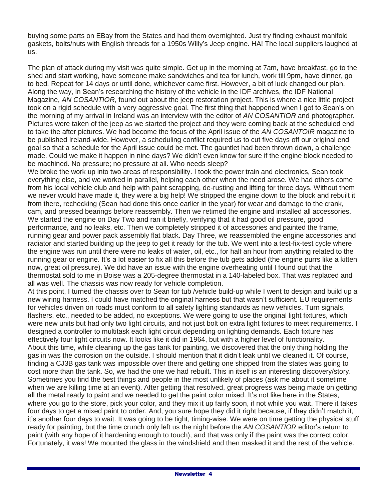buying some parts on EBay from the States and had them overnighted. Just try finding exhaust manifold gaskets, bolts/nuts with English threads for a 1950s Willy's Jeep engine. HA! The local suppliers laughed at us.

The plan of attack during my visit was quite simple. Get up in the morning at 7am, have breakfast, go to the shed and start working, have someone make sandwiches and tea for lunch, work till 9pm, have dinner, go to bed. Repeat for 14 days or until done, whichever came first. However, a bit of luck changed our plan. Along the way, in Sean's researching the history of the vehicle in the IDF archives, the IDF National Magazine, *AN COSANTIOR*, found out about the jeep restoration project. This is where a nice little project took on a rigid schedule with a very aggressive goal. The first thing that happened when I got to Sean's on the morning of my arrival in Ireland was an interview with the editor of *AN COSANTIOR* and photographer. Pictures were taken of the jeep as we started the project and they were coming back at the scheduled end to take the after pictures. We had become the focus of the April issue of the *AN COSANTOIR* magazine to be published Ireland-wide. However, a scheduling conflict required us to cut five days off our original end goal so that a schedule for the April issue could be met. The gauntlet had been thrown down, a challenge made. Could we make it happen in nine days? We didn't even know for sure if the engine block needed to be machined. No pressure; no pressure at all. Who needs sleep?

We broke the work up into two areas of responsibility. I took the power train and electronics, Sean took everything else, and we worked in parallel, helping each other when the need arose. We had others come from his local vehicle club and help with paint scrapping, de-rusting and lifting for three days. Without them we never would have made it, they were a big help! We stripped the engine down to the block and rebuilt it from there, rechecking (Sean had done this once earlier in the year) for wear and damage to the crank, cam, and pressed bearings before reassembly. Then we retimed the engine and installed all accessories. We started the engine on Day Two and ran it briefly, verifying that it had good oil pressure, good performance, and no leaks, etc. Then we completely stripped it of accessories and painted the frame, running gear and power pack assembly flat black. Day Three, we reassembled the engine accessories and radiator and started building up the jeep to get it ready for the tub. We went into a test-fix-test cycle where the engine was run until there were no leaks of water, oil, etc., for half an hour from anything related to the running gear or engine. It's a lot easier to fix all this before the tub gets added (the engine purrs like a kitten now, great oil pressure). We did have an issue with the engine overheating until I found out that the thermostat sold to me in Boise was a 205-degree thermostat in a 140-labeled box. That was replaced and all was well. The chassis was now ready for vehicle completion.

At this point, I turned the chassis over to Sean for tub /vehicle build-up while I went to design and build up a new wiring harness. I could have matched the original harness but that wasn't sufficient. EU requirements for vehicles driven on roads must conform to all safety lighting standards as new vehicles. Turn signals, flashers, etc., needed to be added, no exceptions. We were going to use the original light fixtures, which were new units but had only two light circuits, and not just bolt on extra light fixtures to meet requirements. I designed a controller to multitask each light circuit depending on lighting demands. Each fixture has effectively four light circuits now. It looks like it did in 1964, but with a higher level of functionality. About this time, while cleaning up the gas tank for painting, we discovered that the only thing holding the gas in was the corrosion on the outside. I should mention that it didn't leak until we cleaned it. Of course, finding a CJ3B gas tank was impossible over there and getting one shipped from the states was going to cost more than the tank. So, we had the one we had rebuilt. This in itself is an interesting discovery/story. Sometimes you find the best things and people in the most unlikely of places (ask me about it sometime when we are killing time at an event). After getting that resolved, great progress was being made on getting all the metal ready to paint and we needed to get the paint color mixed. It's not like here in the States, where you go to the store, pick your color, and they mix it up fairly soon, if not while you wait. There it takes four days to get a mixed paint to order. And, you sure hope they did it right because, if they didn't match it, it's another four days to wait. It was going to be tight, timing-wise. We were on time getting the physical stuff ready for painting, but the time crunch only left us the night before the *AN COSANTIOR* editor's return to paint (with any hope of it hardening enough to touch), and that was only if the paint was the correct color. Fortunately, it was! We mounted the glass in the windshield and then masked it and the rest of the vehicle.